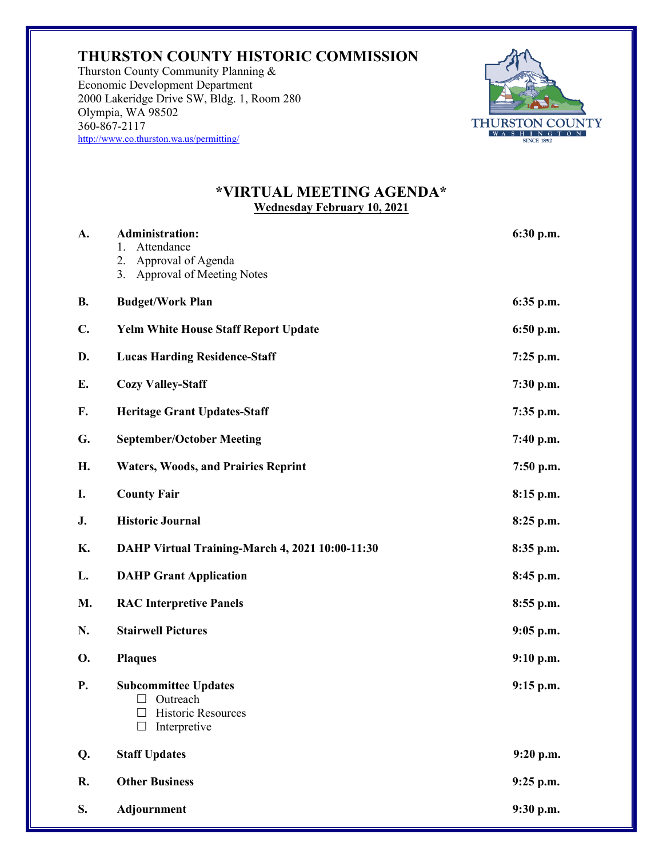## **THURSTON COUNTY HISTORIC COMMISSION**

Thurston County Community Planning & Economic Development Department 2000 Lakeridge Drive SW, Bldg. 1, Room 280 Olympia, WA 98502 360-867-2117 http://www.co.thurston.wa.us/permitting/



## **\*VIRTUAL MEETING AGENDA\* Wednesday February 10, 2021**

| A.             | <b>Administration:</b><br>Attendance<br>1.<br>Approval of Agenda<br>2.<br>3. Approval of Meeting Notes | 6:30 p.m.   |
|----------------|--------------------------------------------------------------------------------------------------------|-------------|
| <b>B.</b>      | <b>Budget/Work Plan</b>                                                                                | $6:35$ p.m. |
| $\mathbf{C}$ . | <b>Yelm White House Staff Report Update</b>                                                            | 6:50 p.m.   |
| D.             | <b>Lucas Harding Residence-Staff</b>                                                                   | $7:25$ p.m. |
| Е.             | <b>Cozy Valley-Staff</b>                                                                               | 7:30 p.m.   |
| F.             | <b>Heritage Grant Updates-Staff</b>                                                                    | $7:35$ p.m. |
| G.             | <b>September/October Meeting</b>                                                                       | 7:40 p.m.   |
| Н.             | <b>Waters, Woods, and Prairies Reprint</b>                                                             | 7:50 p.m.   |
| I.             | <b>County Fair</b>                                                                                     | 8:15 p.m.   |
| J.             | <b>Historic Journal</b>                                                                                | $8:25$ p.m. |
| Κ.             | DAHP Virtual Training-March 4, 2021 10:00-11:30                                                        | 8:35 p.m.   |
| L.             | <b>DAHP Grant Application</b>                                                                          | 8:45 p.m.   |
| M.             | <b>RAC Interpretive Panels</b>                                                                         | $8:55$ p.m. |
| N.             | <b>Stairwell Pictures</b>                                                                              | $9:05$ p.m. |
| <b>O.</b>      | <b>Plaques</b>                                                                                         | 9:10 p.m.   |
| P.             | <b>Subcommittee Updates</b><br>Outreach<br>$\Box$<br>Historic Resources<br>Interpretive                | $9:15$ p.m. |
| Q.             | <b>Staff Updates</b>                                                                                   | 9:20 p.m.   |
| R.             | <b>Other Business</b>                                                                                  | $9:25$ p.m. |
| S.             | Adjournment                                                                                            | 9:30 p.m.   |